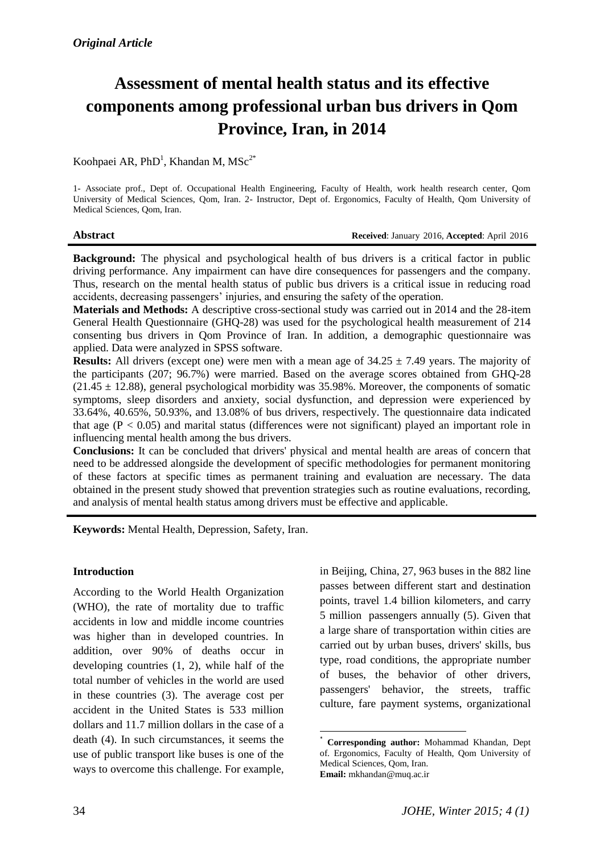# **Assessment of mental health status and its effective components among professional urban bus drivers in Qom Province, Iran, in 2014**

Koohpaei AR, PhD<sup>1</sup>, Khandan M, MSc<sup>2\*</sup>

1- Associate prof., Dept of. Occupational Health Engineering, Faculty of Health, work health research center, Qom University of Medical Sciences, Qom, Iran. 2- Instructor, Dept of. Ergonomics, Faculty of Health, Qom University of Medical Sciences, Qom, Iran.

**Abstract Received**: January 2016, **Accepted**: April 2016

**Background:** The physical and psychological health of bus drivers is a critical factor in public driving performance. Any impairment can have dire consequences for passengers and the company. Thus, research on the mental health status of public bus drivers is a critical issue in reducing road accidents, decreasing passengers' injuries, and ensuring the safety of the operation.

**Materials and Methods:** A descriptive cross-sectional study was carried out in 2014 and the 28-item General Health Questionnaire (GHQ-28) was used for the psychological health measurement of 214 consenting bus drivers in Qom Province of Iran. In addition, a demographic questionnaire was applied. Data were analyzed in SPSS software.

**Results:** All drivers (except one) were men with a mean age of  $34.25 \pm 7.49$  years. The majority of the participants (207; 96.7%) were married. Based on the average scores obtained from GHQ-28  $(21.45 \pm 12.88)$ , general psychological morbidity was 35.98%. Moreover, the components of somatic symptoms, sleep disorders and anxiety, social dysfunction, and depression were experienced by 33.64%, 40.65%, 50.93%, and 13.08% of bus drivers, respectively. The questionnaire data indicated that age  $(P < 0.05)$  and marital status (differences were not significant) played an important role in influencing mental health among the bus drivers.

**Conclusions:** It can be concluded that drivers' physical and mental health are areas of concern that need to be addressed alongside the development of specific methodologies for permanent monitoring of these factors at specific times as permanent training and evaluation are necessary. The data obtained in the present study showed that prevention strategies such as routine evaluations, recording, and analysis of mental health status among drivers must be effective and applicable.

1

**Keywords:** Mental Health, Depression, Safety, Iran.

# **Introduction**

According to the World Health Organization (WHO), the rate of mortality due to traffic accidents in low and middle income countries was higher than in developed countries. In addition, over 90% of deaths occur in developing countries (1, 2), while half of the total number of vehicles in the world are used in these countries (3). The average cost per accident in the United States is 533 million dollars and 11.7 million dollars in the case of a death (4). In such circumstances, it seems the use of public transport like buses is one of the ways to overcome this challenge. For example, in Beijing, China, 27, 963 buses in the 882 line passes between different start and destination points, travel 1.4 billion kilometers, and carry 5 million passengers annually (5). Given that a large share of transportation within cities are carried out by urban buses, drivers' skills, bus type, road conditions, the appropriate number of buses, the behavior of other drivers, passengers' behavior, the streets, traffic culture, fare payment systems, organizational

<sup>\*</sup> **Corresponding author:** Mohammad Khandan, Dept of. Ergonomics, Faculty of Health, Qom University of Medical Sciences, Qom, Iran. **Email:** mkhandan@muq.ac.ir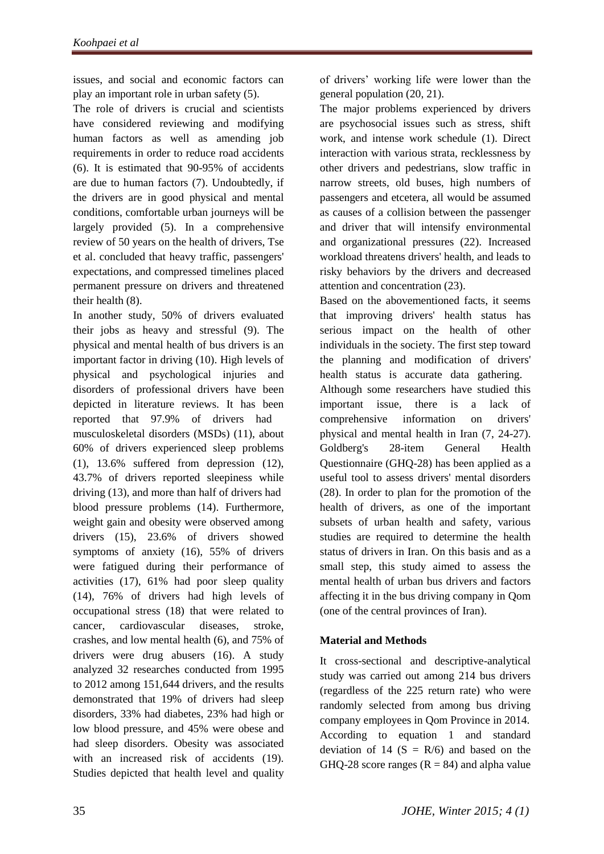issues, and social and economic factors can play an important role in urban safety (5).

The role of drivers is crucial and scientists have considered reviewing and modifying human factors as well as amending job requirements in order to reduce road accidents (6). It is estimated that 90-95% of accidents are due to human factors (7). Undoubtedly, if the drivers are in good physical and mental conditions, comfortable urban journeys will be largely provided (5). In a comprehensive review of 50 years on the health of drivers, Tse et al. concluded that heavy traffic, passengers' expectations, and compressed timelines placed permanent pressure on drivers and threatened their health (8).

In another study, 50% of drivers evaluated their jobs as heavy and stressful (9). The physical and mental health of bus drivers is an important factor in driving (10). High levels of physical and psychological injuries and disorders of professional drivers have been depicted in literature reviews. It has been reported that 97.9% of drivers had musculoskeletal disorders (MSDs) (11), about 60% of drivers experienced sleep problems (1), 13.6% suffered from depression (12), 43.7% of drivers reported sleepiness while driving (13), and more than half of drivers had blood pressure problems (14). Furthermore, weight gain and obesity were observed among drivers (15), 23.6% of drivers showed symptoms of anxiety (16), 55% of drivers were fatigued during their performance of activities (17), 61% had poor sleep quality (14), 76% of drivers had high levels of occupational stress (18) that were related to cancer, cardiovascular diseases, stroke, crashes, and low mental health (6), and 75% of drivers were drug abusers (16). A study analyzed 32 researches conducted from 1995 to 2012 among 151,644 drivers, and the results demonstrated that 19% of drivers had sleep disorders, 33% had diabetes, 23% had high or low blood pressure, and 45% were obese and had sleep disorders. Obesity was associated with an increased risk of accidents (19). Studies depicted that health level and quality of drivers' working life were lower than the general population (20, 21).

The major problems experienced by drivers are psychosocial issues such as stress, shift work, and intense work schedule (1). Direct interaction with various strata, recklessness by other drivers and pedestrians, slow traffic in narrow streets, old buses, high numbers of passengers and etcetera, all would be assumed as causes of a collision between the passenger and driver that will intensify environmental and organizational pressures (22). Increased workload threatens drivers' health, and leads to risky behaviors by the drivers and decreased attention and concentration (23).

Based on the abovementioned facts, it seems that improving drivers' health status has serious impact on the health of other individuals in the society. The first step toward the planning and modification of drivers' health status is accurate data gathering. Although some researchers have studied this important issue, there is a lack of comprehensive information on drivers' physical and mental health in Iran (7, 24-27). Goldberg's 28-item General Health Questionnaire (GHQ-28) has been applied as a useful tool to assess drivers' mental disorders (28). In order to plan for the promotion of the health of drivers, as one of the important subsets of urban health and safety, various studies are required to determine the health status of drivers in Iran. On this basis and as a small step, this study aimed to assess the mental health of urban bus drivers and factors affecting it in the bus driving company in Qom (one of the central provinces of Iran).

# **Material and Methods**

It cross-sectional and descriptive-analytical study was carried out among 214 bus drivers (regardless of the 225 return rate) who were randomly selected from among bus driving company employees in Qom Province in 2014. According to equation 1 and standard deviation of 14 ( $S = R/6$ ) and based on the GHQ-28 score ranges  $(R = 84)$  and alpha value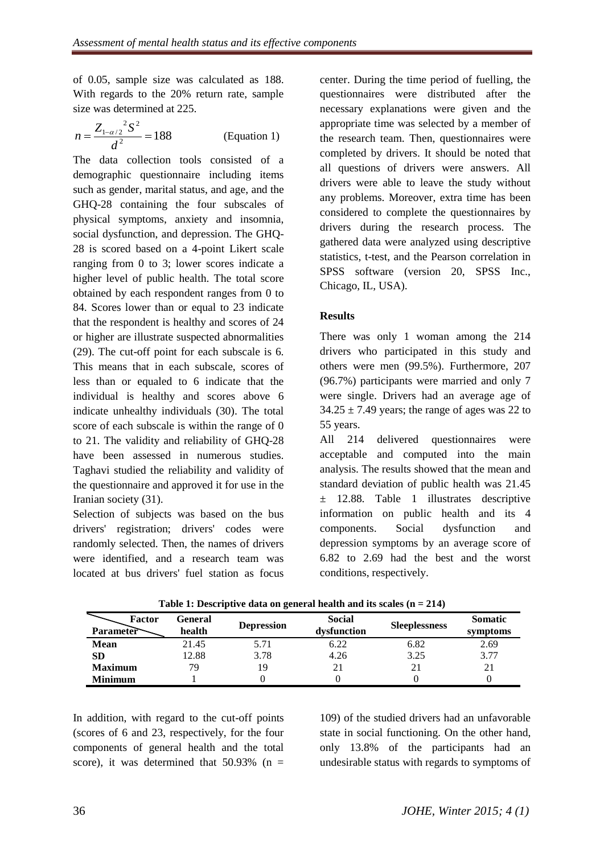of 0.05, sample size was calculated as 188. With regards to the 20% return rate, sample size was determined at 225.

$$
n = \frac{Z_{1-\alpha/2}^2 S^2}{d^2} = 188
$$
 (Equation 1)

The data collection tools consisted of a demographic questionnaire including items such as gender, marital status, and age, and the GHQ-28 containing the four subscales of physical symptoms, anxiety and insomnia, social dysfunction, and depression. The GHQ-28 is scored based on a 4-point Likert scale ranging from 0 to 3; lower scores indicate a higher level of public health. The total score obtained by each respondent ranges from 0 to 84. Scores lower than or equal to 23 indicate that the respondent is healthy and scores of 24 or higher are illustrate suspected abnormalities (29). The cut-off point for each subscale is 6. This means that in each subscale, scores of less than or equaled to 6 indicate that the individual is healthy and scores above 6 indicate unhealthy individuals (30). The total score of each subscale is within the range of 0 to 21. The validity and reliability of GHQ-28 have been assessed in numerous studies. Taghavi studied the reliability and validity of the questionnaire and approved it for use in the Iranian society (31).

Selection of subjects was based on the bus drivers' registration; drivers' codes were randomly selected. Then, the names of drivers were identified, and a research team was located at bus drivers' fuel station as focus

center. During the time period of fuelling, the questionnaires were distributed after the necessary explanations were given and the appropriate time was selected by a member of the research team. Then, questionnaires were completed by drivers. It should be noted that all questions of drivers were answers. All drivers were able to leave the study without any problems. Moreover, extra time has been considered to complete the questionnaires by drivers during the research process. The gathered data were analyzed using descriptive statistics, t-test, and the Pearson correlation in SPSS software (version 20, SPSS Inc., Chicago, IL, USA).

### **Results**

There was only 1 woman among the 214 drivers who participated in this study and others were men (99.5%). Furthermore, 207 (96.7%) participants were married and only 7 were single. Drivers had an average age of  $34.25 \pm 7.49$  years; the range of ages was 22 to 55 years.

All 214 delivered questionnaires were acceptable and computed into the main analysis. The results showed that the mean and standard deviation of public health was 21.45 ± 12.88. Table 1 illustrates descriptive information on public health and its 4 components. Social dysfunction and depression symptoms by an average score of 6.82 to 2.69 had the best and the worst conditions, respectively.

| Factor<br><b>Parameter</b> | General<br>health | <b>Depression</b> | <b>Social</b><br>dysfunction | <b>Sleeplessness</b> | <b>Somatic</b><br>symptoms |
|----------------------------|-------------------|-------------------|------------------------------|----------------------|----------------------------|
| <b>Mean</b>                | 21.45             | 5.71              | 6.22                         | 6.82                 | 2.69                       |
| SD                         | 12.88             | 3.78              | 4.26                         | 3.25                 | 3.77                       |
| <b>Maximum</b>             | 79                | 19                |                              | 21                   |                            |
| Minimum                    |                   |                   |                              |                      |                            |

**Table 1: Descriptive data on general health and its scales (n = 214)**

In addition, with regard to the cut-off points (scores of 6 and 23, respectively, for the four components of general health and the total score), it was determined that  $50.93\%$  (n =

109) of the studied drivers had an unfavorable state in social functioning. On the other hand, only 13.8% of the participants had an undesirable status with regards to symptoms of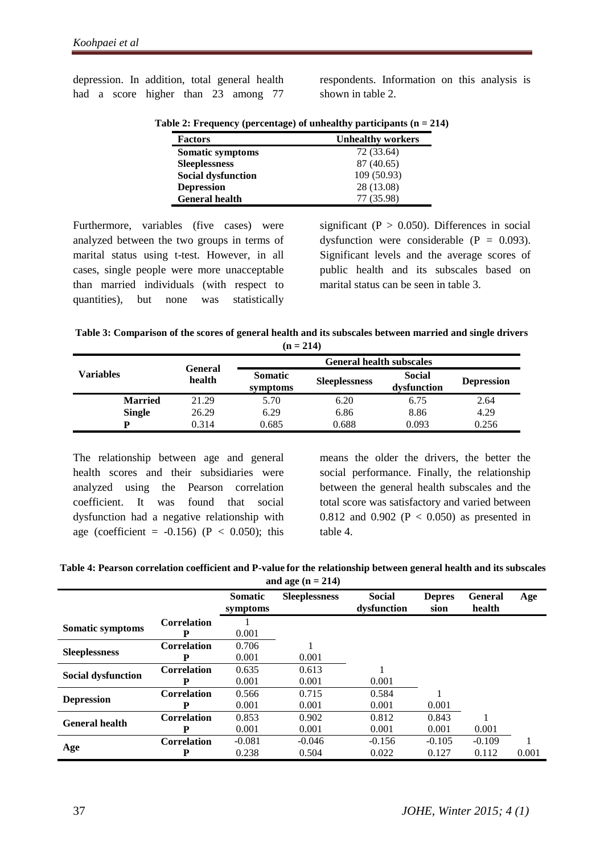depression. In addition, total general health had a score higher than 23 among 77 respondents. Information on this analysis is shown in table 2.

| $\mathbf{r}$ at 1 requester, (per century) or uniformly purelepting $\mathbf{r} = \mathbf{r}$ |                          |  |  |  |
|-----------------------------------------------------------------------------------------------|--------------------------|--|--|--|
| <b>Factors</b>                                                                                | <b>Unhealthy workers</b> |  |  |  |
| Somatic symptoms                                                                              | 72 (33.64)               |  |  |  |
| <b>Sleeplessness</b>                                                                          | 87 (40.65)               |  |  |  |
| <b>Social dysfunction</b>                                                                     | 109(50.93)               |  |  |  |
| <b>Depression</b>                                                                             | 28 (13.08)               |  |  |  |
| <b>General health</b>                                                                         | 77 (35.98)               |  |  |  |
|                                                                                               |                          |  |  |  |

**Table 2: Frequency (percentage) of unhealthy participants (n = 214)**

Furthermore, variables (five cases) were analyzed between the two groups in terms of marital status using t-test. However, in all cases, single people were more unacceptable than married individuals (with respect to quantities), but none was statistically

significant ( $P > 0.050$ ). Differences in social dysfunction were considerable  $(P = 0.093)$ . Significant levels and the average scores of public health and its subscales based on marital status can be seen in table 3.

| Table 3: Comparison of the scores of general health and its subscales between married and single drivers |
|----------------------------------------------------------------------------------------------------------|
| $(n = 214)$                                                                                              |

|                  | General | <b>General health subscales</b> |                      |                       |                   |  |  |
|------------------|---------|---------------------------------|----------------------|-----------------------|-------------------|--|--|
| <b>Variables</b> | health  | <b>Somatic</b><br>symptoms      | <b>Sleeplessness</b> | Social<br>dysfunction | <b>Depression</b> |  |  |
| <b>Married</b>   | 21.29   | 5.70                            | 6.20                 | 6.75                  | 2.64              |  |  |
| <b>Single</b>    | 26.29   | 6.29                            | 6.86                 | 8.86                  | 4.29              |  |  |
| D                | 0.314   | 0.685                           | 0.688                | 0.093                 | 0.256             |  |  |

The relationship between age and general health scores and their subsidiaries were analyzed using the Pearson correlation coefficient. It was found that social dysfunction had a negative relationship with age (coefficient =  $-0.156$ ) (P < 0.050); this

means the older the drivers, the better the social performance. Finally, the relationship between the general health subscales and the total score was satisfactory and varied between 0.812 and 0.902 ( $P < 0.050$ ) as presented in table 4.

| Table 4: Pearson correlation coefficient and P-value for the relationship between general health and its subscales |
|--------------------------------------------------------------------------------------------------------------------|
| and age $(n = 214)$                                                                                                |

|                           |                    | <b>Somatic</b> | -<br><b>Sleeplessness</b> | <b>Social</b> | <b>Depres</b> | <b>General</b> | Age   |
|---------------------------|--------------------|----------------|---------------------------|---------------|---------------|----------------|-------|
|                           |                    | symptoms       |                           | dysfunction   | sion          | health         |       |
| Somatic symptoms          | Correlation        |                |                           |               |               |                |       |
|                           | Р                  | 0.001          |                           |               |               |                |       |
| <b>Sleeplessness</b>      | <b>Correlation</b> | 0.706          |                           |               |               |                |       |
|                           | Р                  | 0.001          | 0.001                     |               |               |                |       |
| <b>Social dysfunction</b> | <b>Correlation</b> | 0.635          | 0.613                     |               |               |                |       |
|                           | р                  | 0.001          | 0.001                     | 0.001         |               |                |       |
| <b>Depression</b>         | <b>Correlation</b> | 0.566          | 0.715                     | 0.584         |               |                |       |
|                           | Р                  | 0.001          | 0.001                     | 0.001         | 0.001         |                |       |
| <b>General health</b>     | <b>Correlation</b> | 0.853          | 0.902                     | 0.812         | 0.843         |                |       |
|                           | Р                  | 0.001          | 0.001                     | 0.001         | 0.001         | 0.001          |       |
| Age                       | <b>Correlation</b> | $-0.081$       | $-0.046$                  | $-0.156$      | $-0.105$      | $-0.109$       |       |
|                           | Р                  | 0.238          | 0.504                     | 0.022         | 0.127         | 0.112          | 0.001 |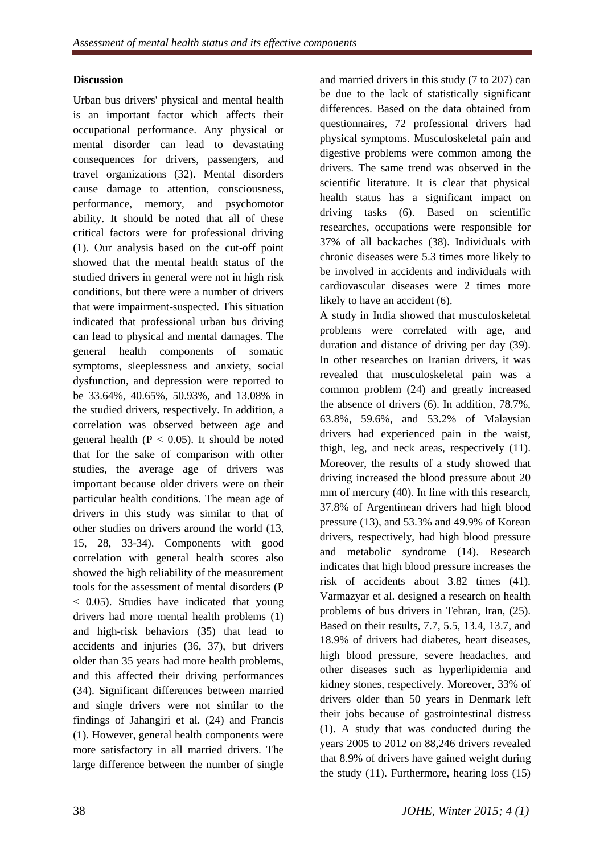### **Discussion**

Urban bus drivers' physical and mental health is an important factor which affects their occupational performance. Any physical or mental disorder can lead to devastating consequences for drivers, passengers, and travel organizations (32). Mental disorders cause damage to attention, consciousness, performance, memory, and psychomotor ability. It should be noted that all of these critical factors were for professional driving (1). Our analysis based on the cut-off point showed that the mental health status of the studied drivers in general were not in high risk conditions, but there were a number of drivers that were impairment-suspected. This situation indicated that professional urban bus driving can lead to physical and mental damages. The general health components of somatic symptoms, sleeplessness and anxiety, social dysfunction, and depression were reported to be 33.64%, 40.65%, 50.93%, and 13.08% in the studied drivers, respectively. In addition, a correlation was observed between age and general health ( $P < 0.05$ ). It should be noted that for the sake of comparison with other studies, the average age of drivers was important because older drivers were on their particular health conditions. The mean age of drivers in this study was similar to that of other studies on drivers around the world (13, 15, 28, 33-34). Components with good correlation with general health scores also showed the high reliability of the measurement tools for the assessment of mental disorders (P < 0.05). Studies have indicated that young drivers had more mental health problems (1) and high-risk behaviors (35) that lead to accidents and injuries (36, 37), but drivers older than 35 years had more health problems, and this affected their driving performances (34). Significant differences between married and single drivers were not similar to the findings of Jahangiri et al. (24) and Francis (1). However, general health components were more satisfactory in all married drivers. The large difference between the number of single

and married drivers in this study (7 to 207) can be due to the lack of statistically significant differences. Based on the data obtained from questionnaires, 72 professional drivers had physical symptoms. Musculoskeletal pain and digestive problems were common among the drivers. The same trend was observed in the scientific literature. It is clear that physical health status has a significant impact on driving tasks (6). Based on scientific researches, occupations were responsible for 37% of all backaches (38). Individuals with chronic diseases were 5.3 times more likely to be involved in accidents and individuals with cardiovascular diseases were 2 times more likely to have an accident (6).

A study in India showed that musculoskeletal problems were correlated with age, and duration and distance of driving per day (39). In other researches on Iranian drivers, it was revealed that musculoskeletal pain was a common problem (24) and greatly increased the absence of drivers (6). In addition, 78.7%, 63.8%, 59.6%, and 53.2% of Malaysian drivers had experienced pain in the waist, thigh, leg, and neck areas, respectively (11). Moreover, the results of a study showed that driving increased the blood pressure about 20 mm of mercury (40). In line with this research, 37.8% of Argentinean drivers had high blood pressure (13), and 53.3% and 49.9% of Korean drivers, respectively, had high blood pressure and metabolic syndrome (14). Research indicates that high blood pressure increases the risk of accidents about 3.82 times (41). Varmazyar et al. designed a research on health problems of bus drivers in Tehran, Iran, (25). Based on their results, 7.7, 5.5, 13.4, 13.7, and 18.9% of drivers had diabetes, heart diseases, high blood pressure, severe headaches, and other diseases such as hyperlipidemia and kidney stones, respectively. Moreover, 33% of drivers older than 50 years in Denmark left their jobs because of gastrointestinal distress (1). A study that was conducted during the years 2005 to 2012 on 88,246 drivers revealed that 8.9% of drivers have gained weight during the study (11). Furthermore, hearing loss (15)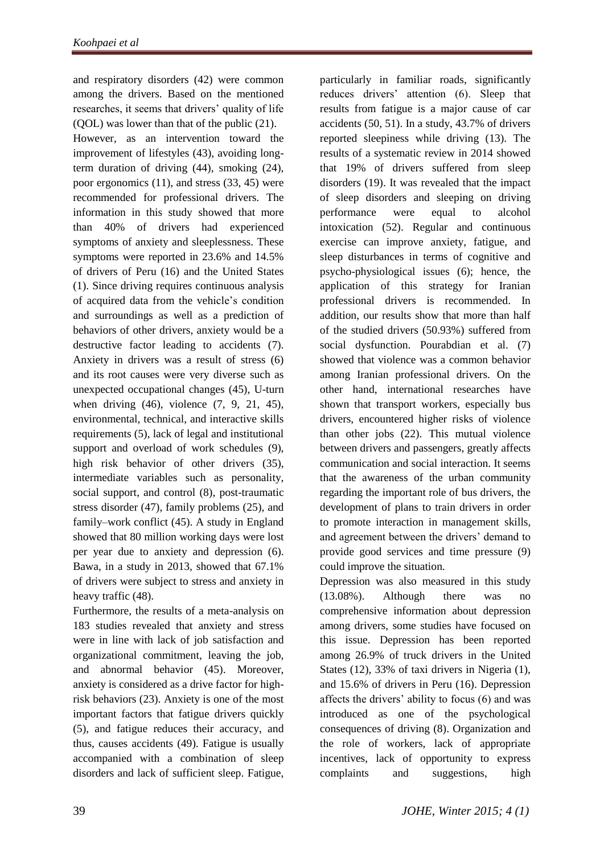and respiratory disorders (42) were common among the drivers. Based on the mentioned researches, it seems that drivers' quality of life (QOL) was lower than that of the public (21). However, as an intervention toward the improvement of lifestyles (43), avoiding longterm duration of driving (44), smoking (24), poor ergonomics (11), and stress (33, 45) were recommended for professional drivers. The information in this study showed that more than 40% of drivers had experienced symptoms of anxiety and sleeplessness. These symptoms were reported in 23.6% and 14.5% of drivers of Peru (16) and the United States (1). Since driving requires continuous analysis of acquired data from the vehicle's condition and surroundings as well as a prediction of behaviors of other drivers, anxiety would be a destructive factor leading to accidents (7). Anxiety in drivers was a result of stress (6) and its root causes were very diverse such as unexpected occupational changes (45), U-turn when driving (46), violence (7, 9, 21, 45), environmental, technical, and interactive skills requirements (5), lack of legal and institutional support and overload of work schedules (9), high risk behavior of other drivers (35), intermediate variables such as personality, social support, and control (8), post-traumatic stress disorder (47), family problems (25), and family–work conflict (45). A study in England showed that 80 million working days were lost per year due to anxiety and depression (6). Bawa, in a study in 2013, showed that 67.1% of drivers were subject to stress and anxiety in heavy traffic (48).

Furthermore, the results of a meta-analysis on 183 studies revealed that anxiety and stress were in line with lack of job satisfaction and organizational commitment, leaving the job, and abnormal behavior (45). Moreover, anxiety is considered as a drive factor for highrisk behaviors (23). Anxiety is one of the most important factors that fatigue drivers quickly (5), and fatigue reduces their accuracy, and thus, causes accidents (49). Fatigue is usually accompanied with a combination of sleep disorders and lack of sufficient sleep. Fatigue,

particularly in familiar roads, significantly reduces drivers' attention (6). Sleep that results from fatigue is a major cause of car accidents (50, 51). In a study, 43.7% of drivers reported sleepiness while driving (13). The results of a systematic review in 2014 showed that 19% of drivers suffered from sleep disorders (19). It was revealed that the impact of sleep disorders and sleeping on driving performance were equal to alcohol intoxication (52). Regular and continuous exercise can improve anxiety, fatigue, and sleep disturbances in terms of cognitive and psycho-physiological issues (6); hence, the application of this strategy for Iranian professional drivers is recommended. In addition, our results show that more than half of the studied drivers (50.93%) suffered from social dysfunction. Pourabdian et al. (7) showed that violence was a common behavior among Iranian professional drivers. On the other hand, international researches have shown that transport workers, especially bus drivers, encountered higher risks of violence than other jobs (22). This mutual violence between drivers and passengers, greatly affects communication and social interaction. It seems that the awareness of the urban community regarding the important role of bus drivers, the development of plans to train drivers in order to promote interaction in management skills, and agreement between the drivers' demand to provide good services and time pressure (9) could improve the situation.

Depression was also measured in this study (13.08%). Although there was no comprehensive information about depression among drivers, some studies have focused on this issue. Depression has been reported among 26.9% of truck drivers in the United States (12), 33% of taxi drivers in Nigeria (1), and 15.6% of drivers in Peru (16). Depression affects the drivers' ability to focus (6) and was introduced as one of the psychological consequences of driving (8). Organization and the role of workers, lack of appropriate incentives, lack of opportunity to express complaints and suggestions, high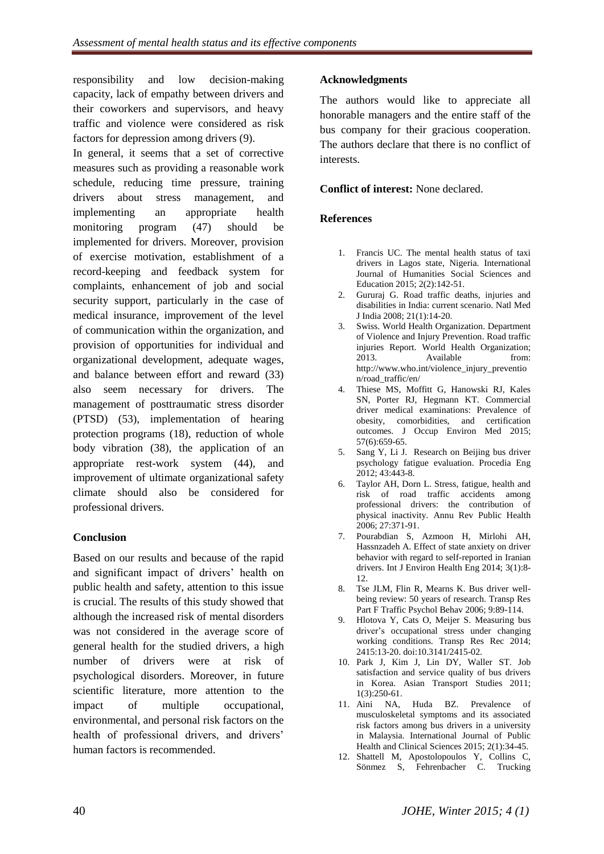responsibility and low decision-making capacity, lack of empathy between drivers and their coworkers and supervisors, and heavy traffic and violence were considered as risk factors for depression among drivers (9).

In general, it seems that a set of corrective measures such as providing a reasonable work schedule, reducing time pressure, training drivers about stress management, and implementing an appropriate health monitoring program (47) should be implemented for drivers. Moreover, provision of exercise motivation, establishment of a record-keeping and feedback system for complaints, enhancement of job and social security support, particularly in the case of medical insurance, improvement of the level of communication within the organization, and provision of opportunities for individual and organizational development, adequate wages, and balance between effort and reward (33) also seem necessary for drivers. The management of posttraumatic stress disorder (PTSD) (53), implementation of hearing protection programs (18), reduction of whole body vibration (38), the application of an appropriate rest-work system (44), and improvement of ultimate organizational safety climate should also be considered for professional drivers.

# **Conclusion**

Based on our results and because of the rapid and significant impact of drivers' health on public health and safety, attention to this issue is crucial. The results of this study showed that although the increased risk of mental disorders was not considered in the average score of general health for the studied drivers, a high number of drivers were at risk of psychological disorders. Moreover, in future scientific literature, more attention to the impact of multiple occupational, environmental, and personal risk factors on the health of professional drivers, and drivers' human factors is recommended.

### **Acknowledgments**

The authors would like to appreciate all honorable managers and the entire staff of the bus company for their gracious cooperation. The authors declare that there is no conflict of interests.

#### **Conflict of interest:** None declared.

#### **References**

- 1. Francis UC. The mental health status of taxi drivers in Lagos state, Nigeria. International Journal of Humanities Social Sciences and Education 2015; 2(2):142-51.
- 2. Gururaj G. Road traffic deaths, injuries and disabilities in India: current scenario. Natl Med J India 2008; 21(1):14-20.
- 3. Swiss. World Health Organization. Department of Violence and Injury Prevention. Road traffic injuries Report. World Health Organization; 2013. Available from: http://www.who.int/violence\_injury\_preventio n/road\_traffic/en/
- 4. Thiese MS, Moffitt G, Hanowski RJ, Kales SN, Porter RJ, Hegmann KT. Commercial driver medical examinations: Prevalence of obesity, comorbidities, and certification outcomes. [J Occup Environ Med](http://www.ncbi.nlm.nih.gov/pubmed/25710607) 2015; 57(6):659-65.
- 5. Sang Y, Li J. Research on Beijing bus driver psychology fatigue evaluation. Procedia Eng 2012; 43:443-8.
- 6. Taylor AH, Dorn L. Stress, fatigue, health and risk of road traffic accidents among professional drivers: the contribution of physical inactivity. Annu Rev Public Health 2006; 27:371-91.
- 7. Pourabdian S, Azmoon H, Mirlohi AH, Hassnzadeh A. Effect of state anxiety on driver behavior with regard to self-reported in Iranian drivers. Int J Environ Health Eng 2014; 3(1):8- 12.
- 8. Tse JLM, Flin R, Mearns K. Bus driver wellbeing review: 50 years of research. Transp Res Part F Traffic Psychol Behav 2006; 9:89-114.
- 9. Hlotova Y, Cats O, Meijer S. Measuring bus driver's occupational stress under changing working conditions. Transp Res Rec 2014; 2415:13-20. doi:10.3141/2415-02.
- 10. Park J, Kim J, Lin DY, Waller ST. Job satisfaction and service quality of bus drivers in Korea. Asian Transport Studies 2011; 1(3):250-61.
- 11. Aini NA, Huda BZ. Prevalence of musculoskeletal symptoms and its associated risk factors among bus drivers in a university in Malaysia. International Journal of Public Health and Clinical Sciences 2015; 2(1):34-45.
- 12. Shattell M, Apostolopoulos Y, Collins C, Sönmez S, Fehrenbacher C. Trucking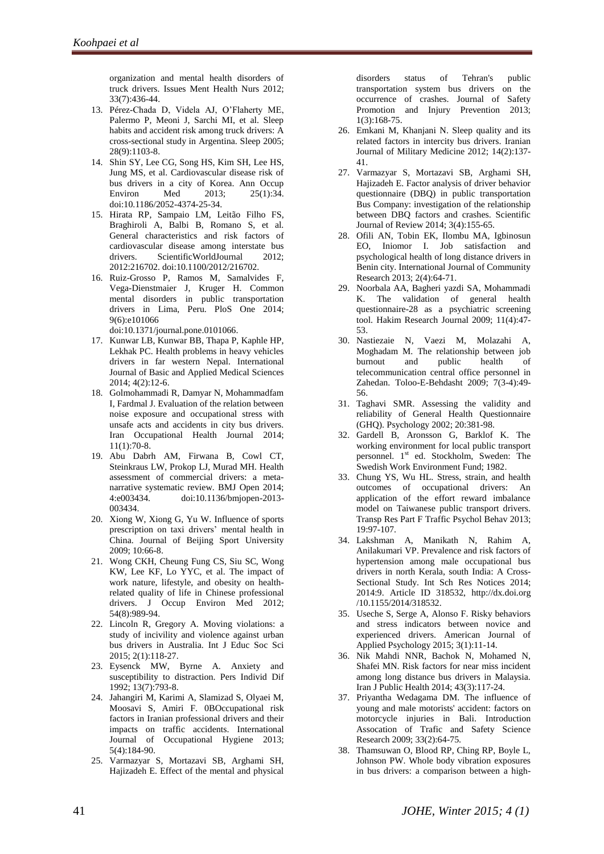organization and mental health disorders of truck drivers. Issues Ment Health Nurs 2012; 33(7):436-44.

- 13. Pérez-Chada D, Videla AJ, O'Flaherty ME, Palermo P, Meoni J, Sarchi MI, et al. Sleep habits and accident risk among truck drivers: A cross-sectional study in Argentina. Sleep 2005; 28(9):1103-8.
- 14. Shin SY, Lee CG, Song HS, Kim SH, Lee HS, Jung MS, et al. Cardiovascular disease risk of bus drivers in a city of Korea. Ann Occup Environ Med 2013; 25(1):34. doi:10.1186/2052-4374-25-34.
- 15. Hirata RP, Sampaio LM, [Leitão Filho FS,](http://www.ncbi.nlm.nih.gov/pubmed/?term=Leit%C3%A3o%20Filho%20FS%5BAuthor%5D&cauthor=true&cauthor_uid=22701350)  Braghiroli A, Balbi B, Romano S, et al. General characteristics and risk factors of cardiovascular disease among interstate bus drivers. ScientificWorldJournal 2012; 2012:216702. doi:10.1100/2012/216702.
- 16. Ruiz-Grosso P, Ramos M, Samalvides F, Vega-Dienstmaier J, [Kruger H.](http://www.ncbi.nlm.nih.gov/pubmed/?term=Kruger%20H%5BAuthor%5D&cauthor=true&cauthor_uid=24979057) Common mental disorders in public transportation drivers in Lima, Peru. PloS One 2014; 9(6):e101066

doi:10.1371/journal.pone.0101066.

- 17. Kunwar LB, Kunwar BB, Thapa P, Kaphle HP, Lekhak PC. Health problems in heavy vehicles drivers in far western Nepal. International Journal of Basic and Applied Medical Sciences 2014; 4(2):12-6.
- 18. Golmohammadi R, Damyar N, Mohammadfam I, Fardmal J. Evaluation of the relation between noise exposure and occupational stress with unsafe acts and accidents in city bus drivers. Iran Occupational Health Journal 2014; 11(1):70-8.
- 19. Abu Dabrh AM, Firwana B, Cowl CT, Steinkraus LW, Prokop LJ, Murad MH. Health assessment of commercial drivers: a metanarrative systematic review. BMJ Open 2014; 4:e003434. doi:10.1136/bmjopen-2013- 003434.
- 20. Xiong W, Xiong G, Yu W. Influence of sports prescription on taxi drivers' mental health in China. [Journal of Beijing Sport University](http://www.oriprobe.com/journals/bjtydxxb.html) 2009; 10:66-8.
- 21. Wong CKH, Cheung Fung CS, Siu SC, Wong KW, Lee KF, Lo YYC, et al. The impact of work nature, lifestyle, and obesity on healthrelated quality of life in Chinese professional drivers. J Occup Environ Med 2012; 54(8):989-94.
- 22. Lincoln R, Gregory A. Moving violations: a study of incivility and violence against urban bus drivers in Australia. Int J Educ Soc Sci 2015; 2(1):118-27.
- 23. Eysenck MW, Byrne A. Anxiety and susceptibility to distraction. Pers Individ Dif 1992; 13(7):793-8.
- 24. Jahangiri M, Karimi A, Slamizad S, Olyaei M, Moosavi S, Amiri F. 0BOccupational risk factors in Iranian professional drivers and their impacts on traffic accidents. International Journal of Occupational Hygiene 2013; 5(4):184-90.
- 25. Varmazyar S, Mortazavi SB, Arghami SH, Hajizadeh E. Effect of the mental and physical

disorders status of Tehran's public transportation system bus drivers on the occurrence of crashes. Journal of Safety Promotion and Injury Prevention 2013; 1(3):168-75.

- 26. Emkani M, Khanjani N. Sleep quality and its related factors in intercity bus drivers. Iranian Journal of Military Medicine 2012; 14(2):137- 41.
- 27. Varmazyar S, Mortazavi SB, Arghami SH, Hajizadeh E. Factor analysis of driver behavior questionnaire (DBQ) in public transportation Bus Company: investigation of the relationship between DBQ factors and crashes. Scientific Journal of Review 2014; 3(4):155-65.
- 28. Ofili AN, Tobin EK, Ilombu MA, Igbinosun EO, Iniomor I. Job satisfaction and psychological health of long distance drivers in Benin city. International Journal of Community Research 2013; 2(4):64-71.
- 29. Noorbala AA, Bagheri yazdi SA, Mohammadi K. The validation of general health questionnaire-28 as a psychiatric screening tool. Hakim Research Journal 2009; 11(4):47- 53.
- 30. Nastiezaie N, Vaezi M, Molazahi A, Moghadam M. The relationship between job burnout and public health of telecommunication central office personnel in Zahedan. Toloo-E-Behdasht 2009; 7(3-4):49- 56.
- 31. Taghavi SMR. Assessing the validity and reliability of General Health Questionnaire (GHQ). Psychology 2002; 20:381-98.
- 32. Gardell B, Aronsson G, Barklof K. The working environment for local public transport personnel. 1<sup>st</sup> ed. Stockholm, Sweden: The Swedish Work Environment Fund; 1982.
- 33. Chung YS, Wu HL. Stress, strain, and health outcomes of occupational drivers: An application of the effort reward imbalance model on Taiwanese public transport drivers. Transp Res Part F Traffic Psychol Behav 2013; 19:97-107.
- 34. Lakshman A, Manikath N, Rahim A, Anilakumari VP. Prevalence and risk factors of hypertension among male occupational bus drivers in north Kerala, south India: A Cross-Sectional Study. Int Sch Res Notices 2014; 2014:9. Article ID 318532, [http://dx.doi.org](http://dx.doi.org/) /10.1155/2014/318532.
- 35. Useche S, Serge A, Alonso F. Risky behaviors and stress indicators between novice and experienced drivers. American Journal of Applied Psychology 2015; 3(1):11-14.
- 36. Nik Mahdi NNR, Bachok N, Mohamed N, Shafei MN. Risk factors for near miss incident among long distance bus drivers in Malaysia. Iran J Public Health 2014; 43(3):117-24.
- 37. Priyantha Wedagama DM. The influence of young and male motorists' accident: factors on motorcycle injuries in Bali. Introduction Assocation of Trafic and [Safety Science](http://www.google.com/url?sa=t&rct=j&q=&esrc=s&frm=1&source=web&cd=3&cad=rja&uact=8&ved=0ahUKEwiI74zxwIPNAhUQOlIKHW8bCTUQFggsMAI&url=http%3A%2F%2Fwww.journals.elsevier.com%2Fsafety-science&usg=AFQjCNHYeTcrwvlwKBrhpJAFs4Yy6bLeog&sig2=IeM_-PAZQWNZh0Q9Kox5nA) Research 2009; 33(2):64-75.
- 38. Thamsuwan O, Blood RP, Ching RP, Boyle L, Johnson PW. Whole body vibration exposures in bus drivers: a comparison between a high-